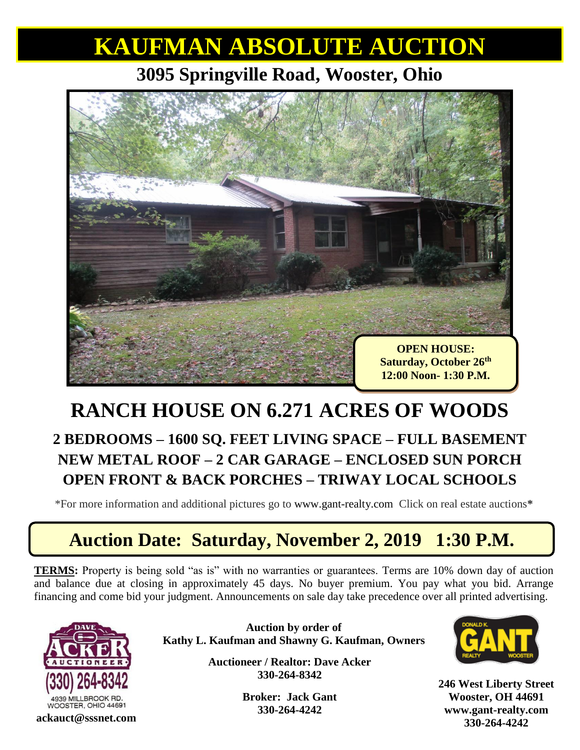# **KAUFMAN ABSOLUTE AUCTION**

#### **3095 Springville Road, Wooster, Ohio**



### **RANCH HOUSE ON 6.271 ACRES OF WOODS 2 BEDROOMS – 1600 SQ. FEET LIVING SPACE – FULL BASEMENT NEW METAL ROOF – 2 CAR GARAGE – ENCLOSED SUN PORCH OPEN FRONT & BACK PORCHES – TRIWAY LOCAL SCHOOLS**

\*For more information and additional pictures go to [www.gant-realty.com](http://www.gant-realty.com/) Click on real estate auctions**\***

## **Auction Date: Saturday, November 2, 2019 1:30 P.M.**

**TERMS:** Property is being sold "as is" with no warranties or guarantees. Terms are 10% down day of auction and balance due at closing in approximately 45 days. No buyer premium. You pay what you bid. Arrange financing and come bid your judgment. Announcements on sale day take precedence over all printed advertising.



**Auction by order of Kathy L. Kaufman and Shawny G. Kaufman, Owners**

> **Auctioneer / Realtor: Dave Acker 330-264-8342**

> > **Broker: Jack Gant 330-264-4242**



**246 West Liberty Street Wooster, OH 44691 [www.gant-realty.com](http://www.gant-realty.com/) 330-264-4242 ackauct@sssnet.com**